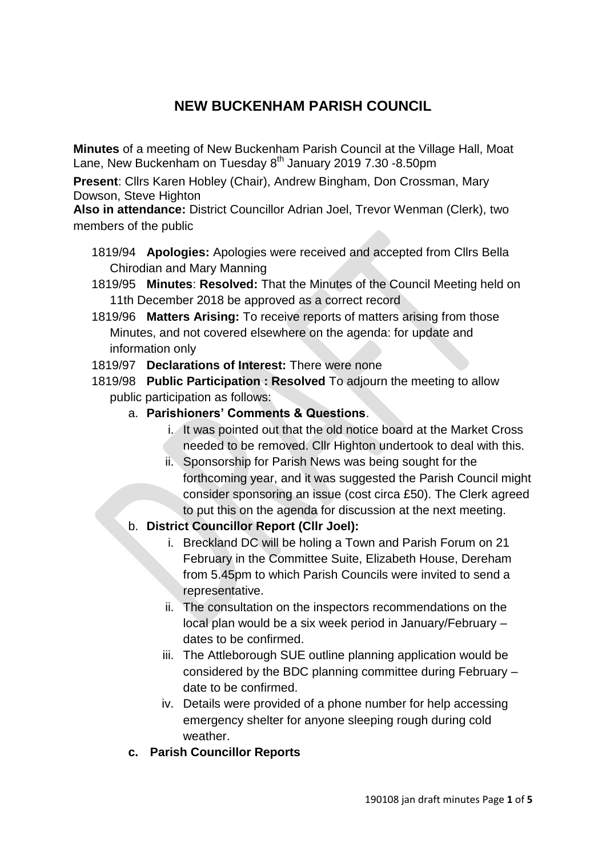# **NEW BUCKENHAM PARISH COUNCIL**

**Minutes** of a meeting of New Buckenham Parish Council at the Village Hall, Moat Lane, New Buckenham on Tuesday 8<sup>th</sup> January 2019 7.30 -8.50pm

**Present**: Cllrs Karen Hobley (Chair), Andrew Bingham, Don Crossman, Mary Dowson, Steve Highton

**Also in attendance:** District Councillor Adrian Joel, Trevor Wenman (Clerk), two members of the public

- 1819/94 **Apologies:** Apologies were received and accepted from Cllrs Bella Chirodian and Mary Manning
- 1819/95 **Minutes**: **Resolved:** That the Minutes of the Council Meeting held on 11th December 2018 be approved as a correct record
- 1819/96 **Matters Arising:** To receive reports of matters arising from those Minutes, and not covered elsewhere on the agenda: for update and information only
- 1819/97 **Declarations of Interest:** There were none
- 1819/98 **Public Participation : Resolved** To adjourn the meeting to allow public participation as follows:
	- a. **Parishioners' Comments & Questions**.
		- i. It was pointed out that the old notice board at the Market Cross needed to be removed. Cllr Highton undertook to deal with this.
		- ii. Sponsorship for Parish News was being sought for the forthcoming year, and it was suggested the Parish Council might consider sponsoring an issue (cost circa £50). The Clerk agreed to put this on the agenda for discussion at the next meeting.
	- b. **District Councillor Report (Cllr Joel):**
		- i. Breckland DC will be holing a Town and Parish Forum on 21 February in the Committee Suite, Elizabeth House, Dereham from 5.45pm to which Parish Councils were invited to send a representative.
		- ii. The consultation on the inspectors recommendations on the local plan would be a six week period in January/February – dates to be confirmed.
		- iii. The Attleborough SUE outline planning application would be considered by the BDC planning committee during February – date to be confirmed.
		- iv. Details were provided of a phone number for help accessing emergency shelter for anyone sleeping rough during cold weather.
	- **c. Parish Councillor Reports**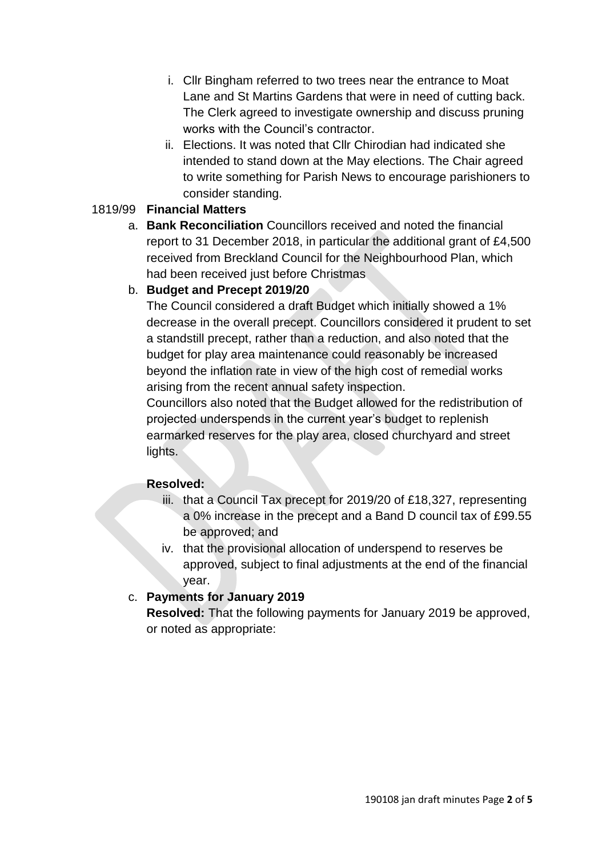- i. Cllr Bingham referred to two trees near the entrance to Moat Lane and St Martins Gardens that were in need of cutting back. The Clerk agreed to investigate ownership and discuss pruning works with the Council's contractor.
- ii. Elections. It was noted that Cllr Chirodian had indicated she intended to stand down at the May elections. The Chair agreed to write something for Parish News to encourage parishioners to consider standing.

#### 1819/99 **Financial Matters**

a. **Bank Reconciliation** Councillors received and noted the financial report to 31 December 2018, in particular the additional grant of £4,500 received from Breckland Council for the Neighbourhood Plan, which had been received just before Christmas

# b. **Budget and Precept 2019/20**

The Council considered a draft Budget which initially showed a 1% decrease in the overall precept. Councillors considered it prudent to set a standstill precept, rather than a reduction, and also noted that the budget for play area maintenance could reasonably be increased beyond the inflation rate in view of the high cost of remedial works arising from the recent annual safety inspection.

Councillors also noted that the Budget allowed for the redistribution of projected underspends in the current year's budget to replenish earmarked reserves for the play area, closed churchyard and street lights.

#### **Resolved:**

- iii. that a Council Tax precept for 2019/20 of £18,327, representing a 0% increase in the precept and a Band D council tax of £99.55 be approved; and
- iv. that the provisional allocation of underspend to reserves be approved, subject to final adjustments at the end of the financial year.

#### c. **Payments for January 2019**

**Resolved:** That the following payments for January 2019 be approved, or noted as appropriate: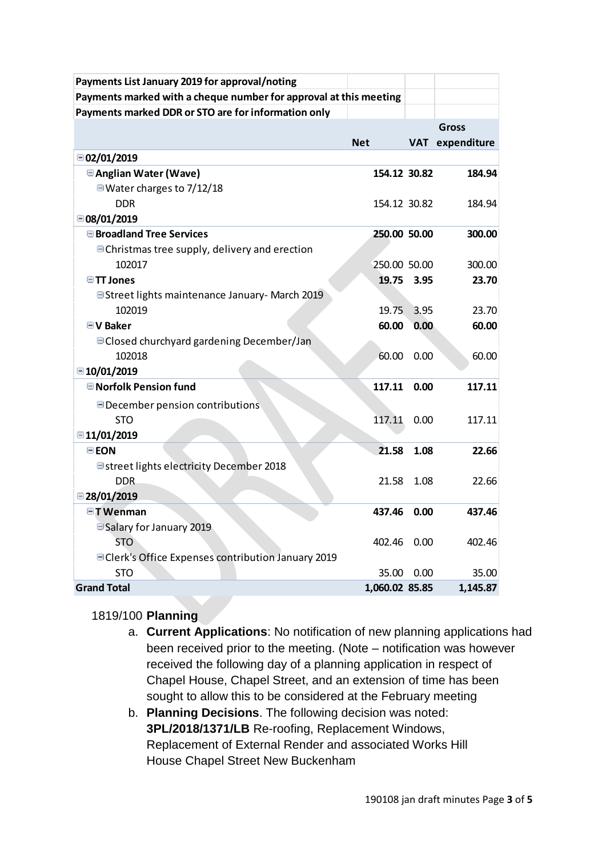| Payments List January 2019 for approval/noting                    |                |            |             |
|-------------------------------------------------------------------|----------------|------------|-------------|
| Payments marked with a cheque number for approval at this meeting |                |            |             |
| Payments marked DDR or STO are for information only               |                |            |             |
|                                                                   |                |            | Gross       |
|                                                                   | <b>Net</b>     | <b>VAT</b> | expenditure |
| □ 02/01/2019                                                      |                |            |             |
| <b>■Anglian Water (Wave)</b>                                      | 154.12 30.82   |            | 184.94      |
| $\Box$ Water charges to 7/12/18                                   |                |            |             |
| <b>DDR</b>                                                        | 154.12 30.82   |            | 184.94      |
| □ 08/01/2019                                                      |                |            |             |
| <b>■Broadland Tree Services</b>                                   | 250.00 50.00   |            | 300.00      |
| <b>■ Christmas tree supply, delivery and erection</b>             |                |            |             |
| 102017                                                            | 250.00 50.00   |            | 300.00      |
| $\blacksquare$ TT Jones                                           | 19.75          | 3.95       | 23.70       |
| <b>E</b> Street lights maintenance January- March 2019            |                |            |             |
| 102019                                                            | 19.75          | 3.95       | 23.70       |
| <b>■V Baker</b>                                                   | 60.00          | 0.00       | 60.00       |
| <b>■ Closed churchyard gardening December/Jan</b>                 |                |            |             |
| 102018                                                            | 60.00          | 0.00       | 60.00       |
| ■10/01/2019                                                       |                |            |             |
| <b>■ Norfolk Pension fund</b>                                     | 117.11         | 0.00       | 117.11      |
| December pension contributions                                    |                |            |             |
| <b>STO</b>                                                        | 117.11         | 0.00       | 117.11      |
| ■11/01/2019                                                       |                |            |             |
| <b>EEON</b>                                                       | 21.58          | 1.08       | 22.66       |
| Estreet lights electricity December 2018                          |                |            |             |
| <b>DDR</b>                                                        | 21.58          | 1.08       | 22.66       |
| $\Box$ 28/01/2019                                                 |                |            |             |
| <b>□T</b> Wenman                                                  | 437.46         | 0.00       | 437.46      |
| □ Salary for January 2019                                         |                |            |             |
| <b>STO</b>                                                        | 402.46         | 0.00       | 402.46      |
| □ Clerk's Office Expenses contribution January 2019               |                |            |             |
| <b>STO</b>                                                        | 35.00          | 0.00       | 35.00       |
| <b>Grand Total</b>                                                | 1,060.02 85.85 |            | 1,145.87    |

#### 1819/100 **Planning**

- a. **Current Applications**: No notification of new planning applications had been received prior to the meeting. (Note – notification was however received the following day of a planning application in respect of Chapel House, Chapel Street, and an extension of time has been sought to allow this to be considered at the February meeting
- b. **Planning Decisions**. The following decision was noted: **3PL/2018/1371/LB** Re-roofing, Replacement Windows, Replacement of External Render and associated Works Hill House Chapel Street New Buckenham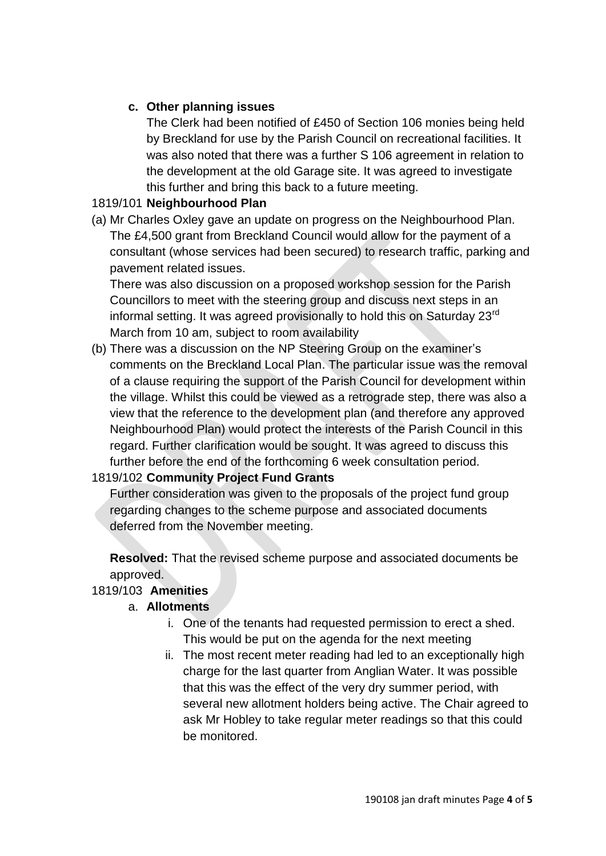# **c. Other planning issues**

The Clerk had been notified of £450 of Section 106 monies being held by Breckland for use by the Parish Council on recreational facilities. It was also noted that there was a further S 106 agreement in relation to the development at the old Garage site. It was agreed to investigate this further and bring this back to a future meeting.

#### 1819/101 **Neighbourhood Plan**

(a) Mr Charles Oxley gave an update on progress on the Neighbourhood Plan. The £4,500 grant from Breckland Council would allow for the payment of a consultant (whose services had been secured) to research traffic, parking and pavement related issues.

There was also discussion on a proposed workshop session for the Parish Councillors to meet with the steering group and discuss next steps in an informal setting. It was agreed provisionally to hold this on Saturday 23<sup>rd</sup> March from 10 am, subject to room availability

(b) There was a discussion on the NP Steering Group on the examiner's comments on the Breckland Local Plan. The particular issue was the removal of a clause requiring the support of the Parish Council for development within the village. Whilst this could be viewed as a retrograde step, there was also a view that the reference to the development plan (and therefore any approved Neighbourhood Plan) would protect the interests of the Parish Council in this regard. Further clarification would be sought. It was agreed to discuss this further before the end of the forthcoming 6 week consultation period.

#### 1819/102 **Community Project Fund Grants**

Further consideration was given to the proposals of the project fund group regarding changes to the scheme purpose and associated documents deferred from the November meeting.

**Resolved:** That the revised scheme purpose and associated documents be approved.

#### 1819/103 **Amenities**

#### a. **Allotments**

- i. One of the tenants had requested permission to erect a shed. This would be put on the agenda for the next meeting
- ii. The most recent meter reading had led to an exceptionally high charge for the last quarter from Anglian Water. It was possible that this was the effect of the very dry summer period, with several new allotment holders being active. The Chair agreed to ask Mr Hobley to take regular meter readings so that this could be monitored.